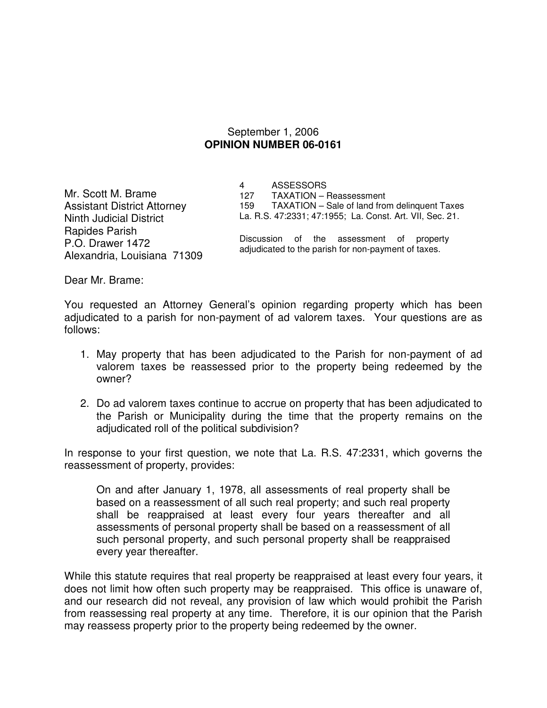## September 1, 2006 **OPINION NUMBER 06-0161**

Mr. Scott M. Brame Assistant District Attorney Ninth Judicial District Rapides Parish P.O. Drawer 1472 Alexandria, Louisiana 71309 4 ASSESSORS 127 TAXATION – Reassessment 159 TAXATION – Sale of land from delinquent Taxes La. R.S. 47:2331; 47:1955; La. Const. Art. VII, Sec. 21.

Discussion of the assessment of property adjudicated to the parish for non-payment of taxes.

Dear Mr. Brame:

You requested an Attorney General's opinion regarding property which has been adjudicated to a parish for non-payment of ad valorem taxes. Your questions are as follows:

- 1. May property that has been adjudicated to the Parish for non-payment of ad valorem taxes be reassessed prior to the property being redeemed by the owner?
- 2. Do ad valorem taxes continue to accrue on property that has been adjudicated to the Parish or Municipality during the time that the property remains on the adjudicated roll of the political subdivision?

In response to your first question, we note that La. R.S. 47:2331, which governs the reassessment of property, provides:

On and after January 1, 1978, all assessments of real property shall be based on a reassessment of all such real property; and such real property shall be reappraised at least every four years thereafter and all assessments of personal property shall be based on a reassessment of all such personal property, and such personal property shall be reappraised every year thereafter.

While this statute requires that real property be reappraised at least every four years, it does not limit how often such property may be reappraised. This office is unaware of, and our research did not reveal, any provision of law which would prohibit the Parish from reassessing real property at any time. Therefore, it is our opinion that the Parish may reassess property prior to the property being redeemed by the owner.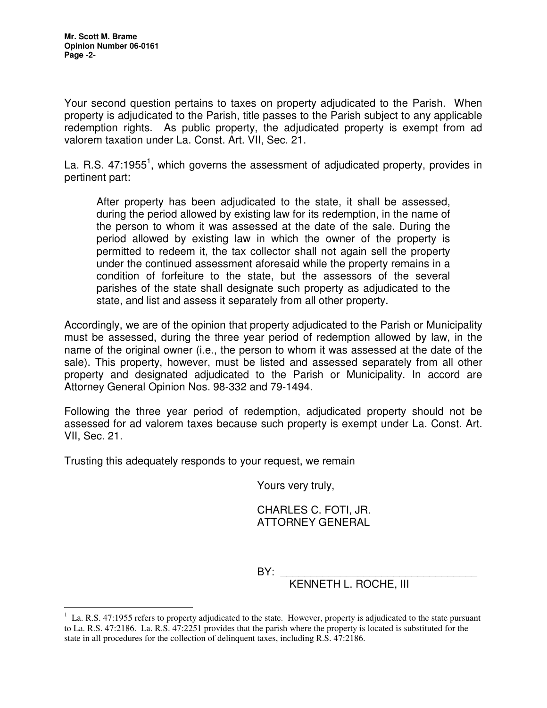$\overline{a}$ 

Your second question pertains to taxes on property adjudicated to the Parish. When property is adjudicated to the Parish, title passes to the Parish subject to any applicable redemption rights. As public property, the adjudicated property is exempt from ad valorem taxation under La. Const. Art. VII, Sec. 21.

La. R.S. 47:1955<sup>1</sup>, which governs the assessment of adjudicated property, provides in pertinent part:

After property has been adjudicated to the state, it shall be assessed, during the period allowed by existing law for its redemption, in the name of the person to whom it was assessed at the date of the sale. During the period allowed by existing law in which the owner of the property is permitted to redeem it, the tax collector shall not again sell the property under the continued assessment aforesaid while the property remains in a condition of forfeiture to the state, but the assessors of the several parishes of the state shall designate such property as adjudicated to the state, and list and assess it separately from all other property.

Accordingly, we are of the opinion that property adjudicated to the Parish or Municipality must be assessed, during the three year period of redemption allowed by law, in the name of the original owner (i.e., the person to whom it was assessed at the date of the sale). This property, however, must be listed and assessed separately from all other property and designated adjudicated to the Parish or Municipality. In accord are Attorney General Opinion Nos. 98-332 and 79-1494.

Following the three year period of redemption, adjudicated property should not be assessed for ad valorem taxes because such property is exempt under La. Const. Art. VII, Sec. 21.

Trusting this adequately responds to your request, we remain

Yours very truly,

 CHARLES C. FOTI, JR. ATTORNEY GENERAL

BY: \_\_\_\_\_\_\_\_\_\_\_\_\_\_\_\_\_\_\_\_\_\_\_\_\_\_\_\_\_\_\_\_\_

KENNETH L. ROCHE, III

 $1$  La. R.S. 47:1955 refers to property adjudicated to the state. However, property is adjudicated to the state pursuant to La. R.S. 47:2186. La. R.S. 47:2251 provides that the parish where the property is located is substituted for the state in all procedures for the collection of delinquent taxes, including R.S. 47:2186.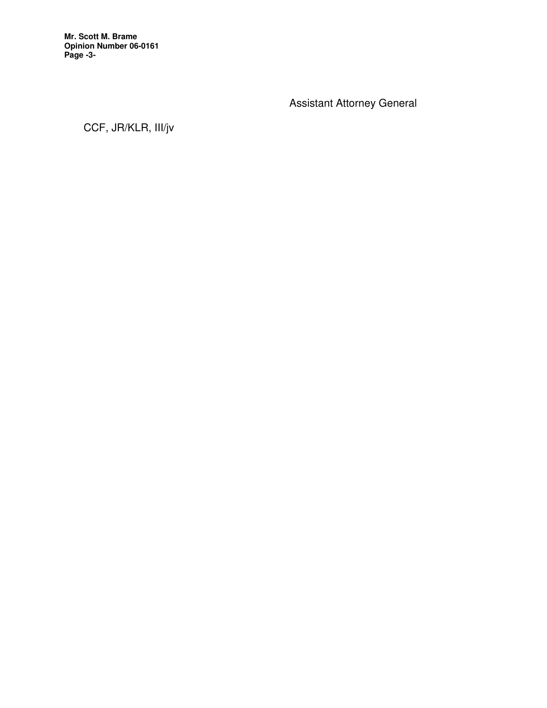**Mr. Scott M. Brame Opinion Number 06-0161 Page -3-** 

Assistant Attorney General

CCF, JR/KLR, III/jv